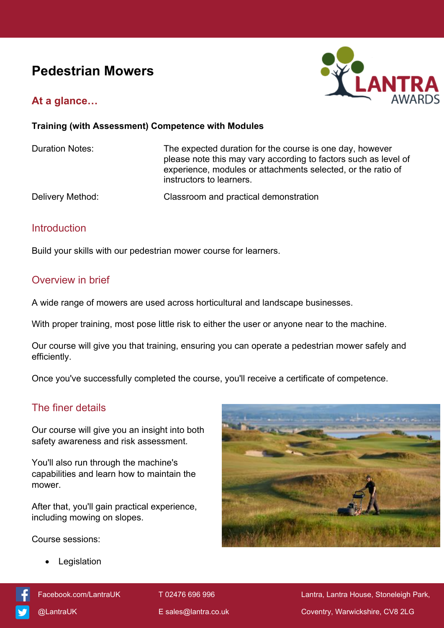# **Pedestrian Mowers**



## **At a glance…**

#### **Training (with Assessment) Competence with Modules**

Duration Notes: The expected duration for the course is one day, however please note this may vary according to factors such as level of experience, modules or attachments selected, or the ratio of instructors to learners.

Delivery Method: Classroom and practical demonstration

#### **Introduction**

Build your skills with our pedestrian mower course for learners.

### Overview in brief

A wide range of mowers are used across horticultural and landscape businesses.

With proper training, most pose little risk to either the user or anyone near to the machine.

Our course will give you that training, ensuring you can operate a pedestrian mower safely and efficiently.

Once you've successfully completed the course, you'll receive a certificate of competence.

# The finer details

Our course will give you an insight into both safety awareness and risk assessment.

You'll also run through the machine's capabilities and learn how to maintain the mower.

After that, you'll gain practical experience, including mowing on slopes.

Course sessions:

Legislation





[Facebook.com/LantraUK](https://www.facebook.com/LantraUK/) T 02476 696 996 Lantra, Lantra, Lantra House, Stoneleigh Park, [@LantraUK](http://www.twitter.com/lantrauk) E [sales@lantra.co.uk](mailto:sales@lantra.co.uk) Coventry, Warwickshire, CV8 2LG